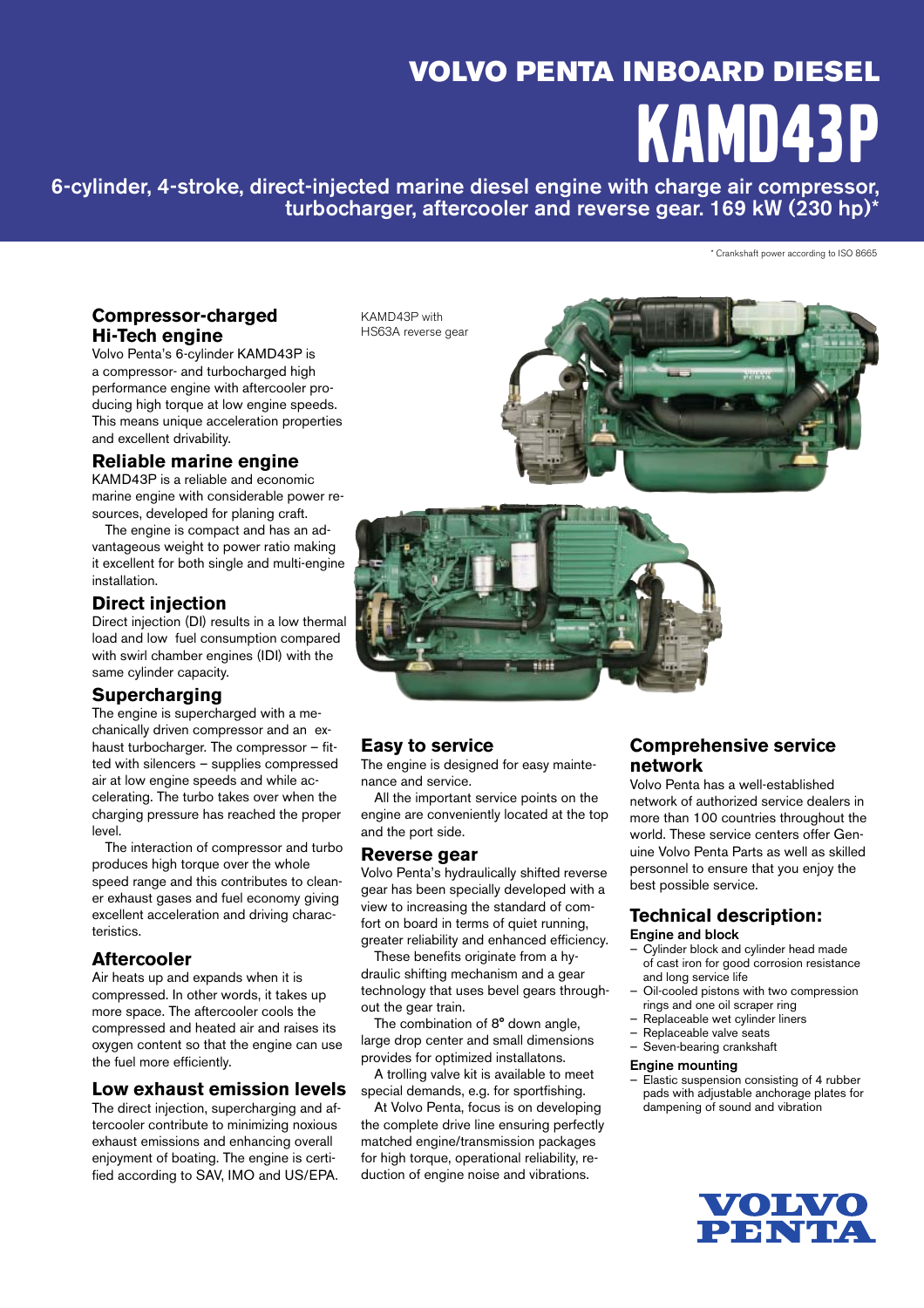# VOLVO PENTA INBOARD DIESEL KAMD43P

6-cylinder, 4-stroke, direct-injected marine diesel engine with charge air compressor, turbocharger, aftercooler and reverse gear. 169 kW (230 hp)\*

\* Crankshaft power according to ISO 8665

### **Compressor-charged Hi-Tech engine**

Volvo Penta's 6-cylinder KAMD43P is a compressor- and turbocharged high performance engine with aftercooler producing high torque at low engine speeds. This means unique acceleration properties and excellent drivability.

## **Reliable marine engine**

KAMD43P is a reliable and economic marine engine with considerable power resources, developed for planing craft.

 The engine is compact and has an advantageous weight to power ratio making it excellent for both single and multi-engine installation.

## **Direct injection**

Direct injection (DI) results in a low thermal load and low fuel consumption compared with swirl chamber engines (IDI) with the same cylinder capacity.

## **Supercharging**

The engine is supercharged with a mechanically driven compressor and an exhaust turbocharger. The compressor - fitted with silencers - supplies compressed air at low engine speeds and while accelerating. The turbo takes over when the charging pressure has reached the proper level.

The interaction of compressor and turbo produces high torque over the whole speed range and this contributes to cleaner exhaust gases and fuel economy giving excellent acceleration and driving characteristics

## **Aftercooler**

Air heats up and expands when it is compressed. In other words, it takes up more space. The aftercooler cools the com pressed and heated air and raises its oxygen content so that the engine can use the fuel more efficiently.

#### **Low exhaust emission levels**

The direct injection, supercharging and aftercooler contribute to minimizing noxious exhaust emissions and enhancing overall enjoyment of boating. The engine is certified according to SAV, IMO and US/EPA.

KAMD43P with HS63A reverse gear





## **Easy to service**

The engine is designed for easy maintenance and service.

 All the important service points on the engine are conveniently located at the top and the port side.

#### **Reverse gear**

Volvo Penta's hydraulically shifted reverse gear has been specially developed with a view to increasing the standard of comfort on board in terms of quiet running, greater reliability and enhanced efficiency.

These benefits originate from a hydraulic shifting mechanism and a gear technology that uses bevel gears throughout the gear train.

 The combination of 8° down angle, large drop center and small dimensions provides for optimized installatons.

 A trolling valve kit is available to meet special demands, e.g. for sportfishing.

At Volvo Penta, focus is on developing the complete drive line ensuring perfectly matched engine/transmission packages for high torque, operational reliability, reduction of engine noise and vibrations.

## **Comprehensive service network**

Volvo Penta has a well-established net work of authorized service dealers in more than 100 countries throughout the world. These service centers offer Genuine Volvo Penta Parts as well as skilled personnel to ensure that you enjoy the best possible service.

## **Technical description:**

#### Engine and block

- Cylinder block and cylinder head made of cast iron for good corrosion resistance and long service life
- Oil-cooled pistons with two compression rings and one oil scraper ring
- Replaceable wet cylinder liners
- Replaceable valve seats — Seven-bearing crankshaft

#### Engine mounting

Elastic suspension consisting of 4 rubber pads with adjustable anchorage plates for dampening of sound and vibration